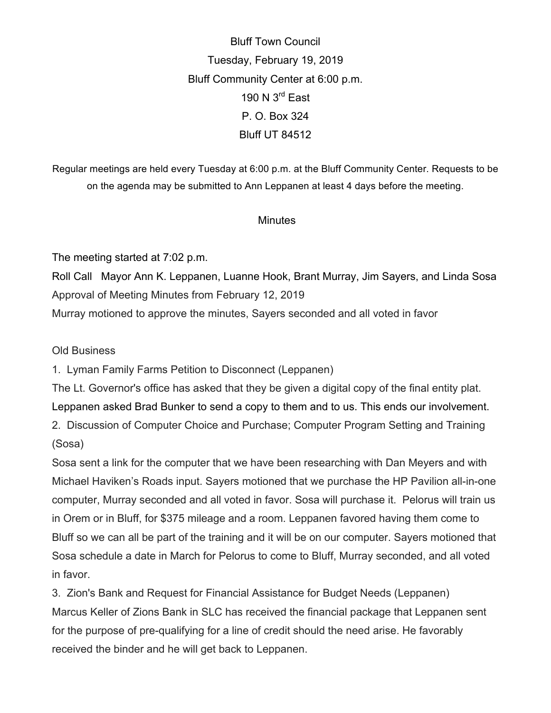Bluff Town Council Tuesday, February 19, 2019 Bluff Community Center at 6:00 p.m. 190 N 3<sup>rd</sup> East P. O. Box 324 Bluff UT 84512

Regular meetings are held every Tuesday at 6:00 p.m. at the Bluff Community Center. Requests to be on the agenda may be submitted to Ann Leppanen at least 4 days before the meeting.

## **Minutes**

The meeting started at 7:02 p.m.

Roll Call Mayor Ann K. Leppanen, Luanne Hook, Brant Murray, Jim Sayers, and Linda Sosa Approval of Meeting Minutes from February 12, 2019

Murray motioned to approve the minutes, Sayers seconded and all voted in favor

Old Business

1. Lyman Family Farms Petition to Disconnect (Leppanen)

The Lt. Governor's office has asked that they be given a digital copy of the final entity plat. Leppanen asked Brad Bunker to send a copy to them and to us. This ends our involvement.

2. Discussion of Computer Choice and Purchase; Computer Program Setting and Training (Sosa)

Sosa sent a link for the computer that we have been researching with Dan Meyers and with Michael Haviken's Roads input. Sayers motioned that we purchase the HP Pavilion all-in-one computer, Murray seconded and all voted in favor. Sosa will purchase it. Pelorus will train us in Orem or in Bluff, for \$375 mileage and a room. Leppanen favored having them come to Bluff so we can all be part of the training and it will be on our computer. Sayers motioned that Sosa schedule a date in March for Pelorus to come to Bluff, Murray seconded, and all voted in favor.

3. Zion's Bank and Request for Financial Assistance for Budget Needs (Leppanen) Marcus Keller of Zions Bank in SLC has received the financial package that Leppanen sent for the purpose of pre-qualifying for a line of credit should the need arise. He favorably received the binder and he will get back to Leppanen.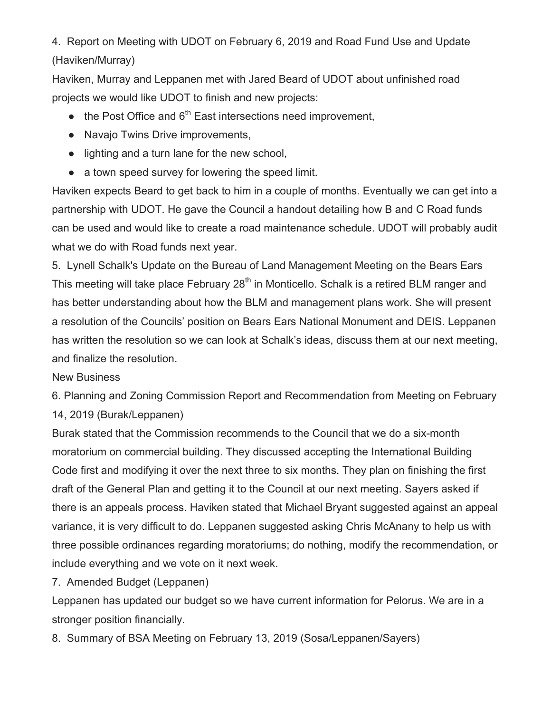4. Report on Meeting with UDOT on February 6, 2019 and Road Fund Use and Update (Haviken/Murray)

Haviken, Murray and Leppanen met with Jared Beard of UDOT about unfinished road projects we would like UDOT to finish and new projects:

- $\bullet$  the Post Office and 6<sup>th</sup> East intersections need improvement,
- Navajo Twins Drive improvements,
- lighting and a turn lane for the new school,
- a town speed survey for lowering the speed limit.

Haviken expects Beard to get back to him in a couple of months. Eventually we can get into a partnership with UDOT. He gave the Council a handout detailing how B and C Road funds can be used and would like to create a road maintenance schedule. UDOT will probably audit what we do with Road funds next year.

5. Lynell Schalk's Update on the Bureau of Land Management Meeting on the Bears Ears This meeting will take place February 28<sup>th</sup> in Monticello. Schalk is a retired BLM ranger and has better understanding about how the BLM and management plans work. She will present a resolution of the Councils' position on Bears Ears National Monument and DEIS. Leppanen has written the resolution so we can look at Schalk's ideas, discuss them at our next meeting, and finalize the resolution.

## New Business

6. Planning and Zoning Commission Report and Recommendation from Meeting on February 14, 2019 (Burak/Leppanen)

Burak stated that the Commission recommends to the Council that we do a six-month moratorium on commercial building. They discussed accepting the International Building Code first and modifying it over the next three to six months. They plan on finishing the first draft of the General Plan and getting it to the Council at our next meeting. Sayers asked if there is an appeals process. Haviken stated that Michael Bryant suggested against an appeal variance, it is very difficult to do. Leppanen suggested asking Chris McAnany to help us with three possible ordinances regarding moratoriums; do nothing, modify the recommendation, or include everything and we vote on it next week.

7. Amended Budget (Leppanen)

Leppanen has updated our budget so we have current information for Pelorus. We are in a stronger position financially.

8. Summary of BSA Meeting on February 13, 2019 (Sosa/Leppanen/Sayers)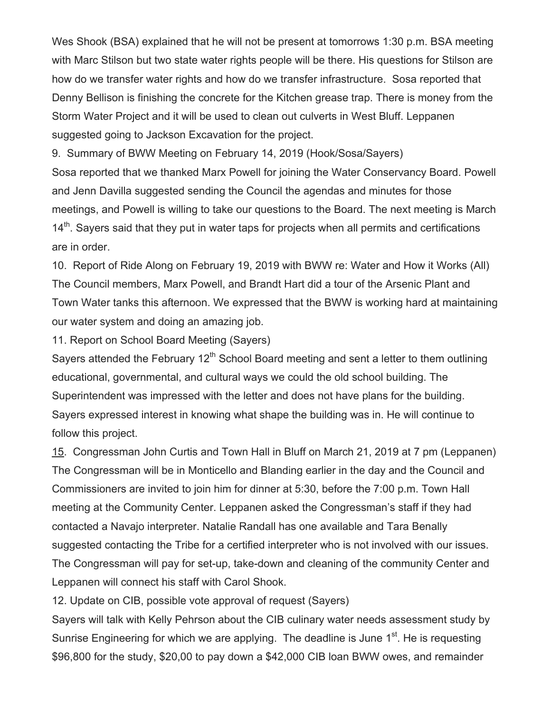Wes Shook (BSA) explained that he will not be present at tomorrows 1:30 p.m. BSA meeting with Marc Stilson but two state water rights people will be there. His questions for Stilson are how do we transfer water rights and how do we transfer infrastructure. Sosa reported that Denny Bellison is finishing the concrete for the Kitchen grease trap. There is money from the Storm Water Project and it will be used to clean out culverts in West Bluff. Leppanen suggested going to Jackson Excavation for the project.

9. Summary of BWW Meeting on February 14, 2019 (Hook/Sosa/Sayers)

Sosa reported that we thanked Marx Powell for joining the Water Conservancy Board. Powell and Jenn Davilla suggested sending the Council the agendas and minutes for those meetings, and Powell is willing to take our questions to the Board. The next meeting is March  $14<sup>th</sup>$ . Sayers said that they put in water taps for projects when all permits and certifications are in order.

10. Report of Ride Along on February 19, 2019 with BWW re: Water and How it Works (All) The Council members, Marx Powell, and Brandt Hart did a tour of the Arsenic Plant and Town Water tanks this afternoon. We expressed that the BWW is working hard at maintaining our water system and doing an amazing job.

11. Report on School Board Meeting (Sayers)

Sayers attended the February 12<sup>th</sup> School Board meeting and sent a letter to them outlining educational, governmental, and cultural ways we could the old school building. The Superintendent was impressed with the letter and does not have plans for the building. Sayers expressed interest in knowing what shape the building was in. He will continue to follow this project.

15. Congressman John Curtis and Town Hall in Bluff on March 21, 2019 at 7 pm (Leppanen) The Congressman will be in Monticello and Blanding earlier in the day and the Council and Commissioners are invited to join him for dinner at 5:30, before the 7:00 p.m. Town Hall meeting at the Community Center. Leppanen asked the Congressman's staff if they had contacted a Navajo interpreter. Natalie Randall has one available and Tara Benally suggested contacting the Tribe for a certified interpreter who is not involved with our issues. The Congressman will pay for set-up, take-down and cleaning of the community Center and Leppanen will connect his staff with Carol Shook.

12. Update on CIB, possible vote approval of request (Sayers)

Sayers will talk with Kelly Pehrson about the CIB culinary water needs assessment study by Sunrise Engineering for which we are applying. The deadline is June 1<sup>st</sup>. He is requesting \$96,800 for the study, \$20,00 to pay down a \$42,000 CIB loan BWW owes, and remainder